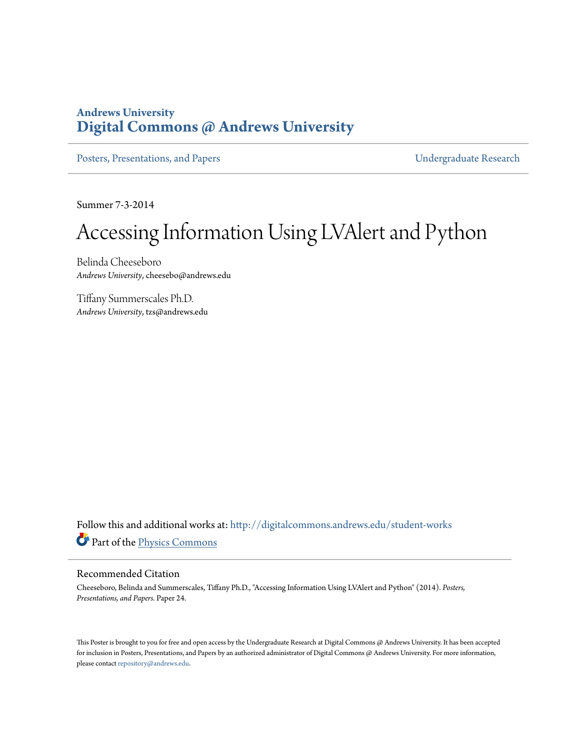#### **Andrews University [Digital Commons @ Andrews University](http://digitalcommons.andrews.edu?utm_source=digitalcommons.andrews.edu%2Fstudent-works%2F24&utm_medium=PDF&utm_campaign=PDFCoverPages)**

[Posters, Presentations, and Papers](http://digitalcommons.andrews.edu/student-works?utm_source=digitalcommons.andrews.edu%2Fstudent-works%2F24&utm_medium=PDF&utm_campaign=PDFCoverPages) **Victor** Contract Contract Contract Contract Contract Contract Contract Contract Contract Contract Contract Contract Contract Contract Contract Contract Contract Contract Contract Contrac

Summer 7-3-2014

#### Accessing Information Using LVAlert and Python

Belinda Cheeseboro *Andrews University*, cheesebo@andrews.edu

Tiffany Summerscales Ph.D. *Andrews University*, tzs@andrews.edu

Follow this and additional works at: [http://digitalcommons.andrews.edu/student-works](http://digitalcommons.andrews.edu/student-works?utm_source=digitalcommons.andrews.edu%2Fstudent-works%2F24&utm_medium=PDF&utm_campaign=PDFCoverPages) Part of the [Physics Commons](http://network.bepress.com/hgg/discipline/193?utm_source=digitalcommons.andrews.edu%2Fstudent-works%2F24&utm_medium=PDF&utm_campaign=PDFCoverPages)

#### Recommended Citation

Cheeseboro, Belinda and Summerscales, Tiffany Ph.D., "Accessing Information Using LVAlert and Python" (2014). *Posters, Presentations, and Papers.* Paper 24.

This Poster is brought to you for free and open access by the Undergraduate Research at Digital Commons @ Andrews University. It has been accepted for inclusion in Posters, Presentations, and Papers by an authorized administrator of Digital Commons @ Andrews University. For more information, please contact [repository@andrews.edu.](mailto:repository@andrews.edu)